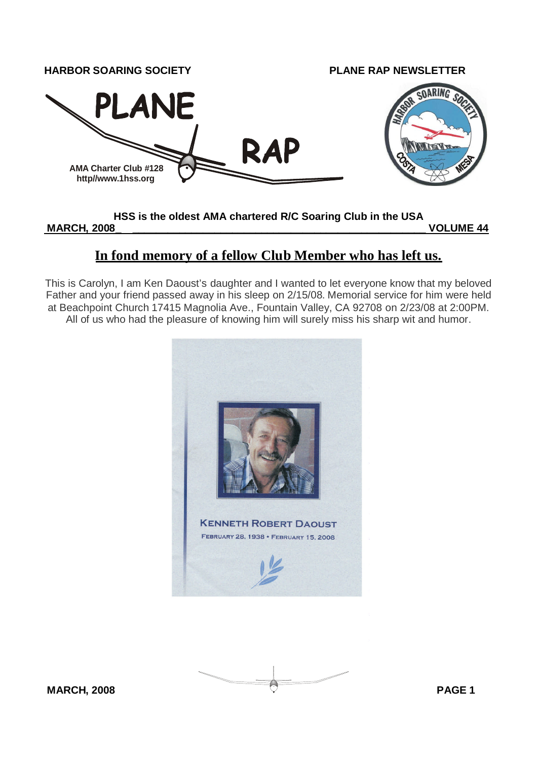

#### **HSS is the oldest AMA chartered R/C Soaring Club in the USA**

**MARCH, 2008\_ \_\_\_\_\_\_\_\_\_\_\_\_\_\_\_\_\_\_\_\_\_\_\_\_\_\_\_\_\_\_\_\_\_\_\_\_\_\_\_\_\_\_\_\_\_\_\_\_\_\_ VOLUME 44**

## **In fond memory of a fellow Club Member who has left us.**

This is Carolyn, I am Ken Daoust's daughter and I wanted to let everyone know that my beloved Father and your friend passed away in his sleep on 2/15/08. Memorial service for him were held at Beachpoint Church 17415 Magnolia Ave., Fountain Valley, CA 92708 on 2/23/08 at 2:00PM. All of us who had the pleasure of knowing him will surely miss his sharp wit and humor.



**MARCH, 2008 PAGE 1**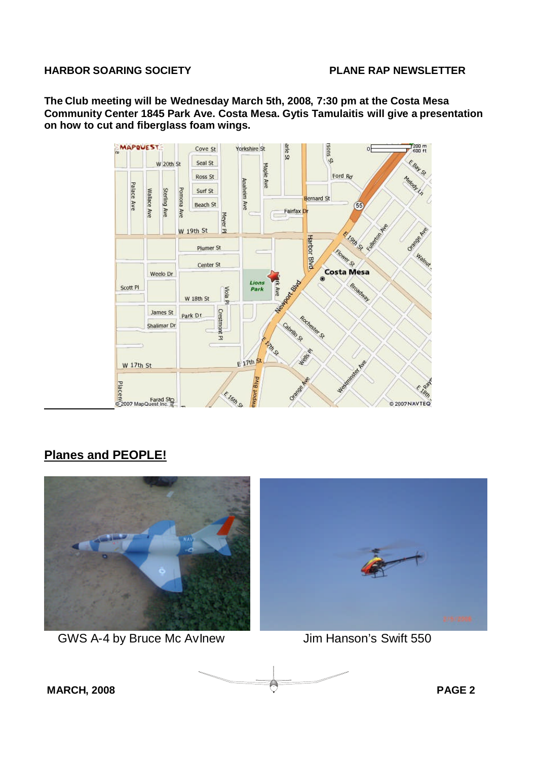**The Club meeting will be Wednesday March 5th, 2008, 7:30 pm at the Costa Mesa Community Center 1845 Park Ave. Costa Mesa. Gytis Tamulaitis will give a presentation on how to cut and fiberglass foam wings.**



## **Planes and PEOPLE!**



GWS A-4 by Bruce Mc AvInew Jim Hanson's Swift 550

**MARCH, 2008 PAGE 2**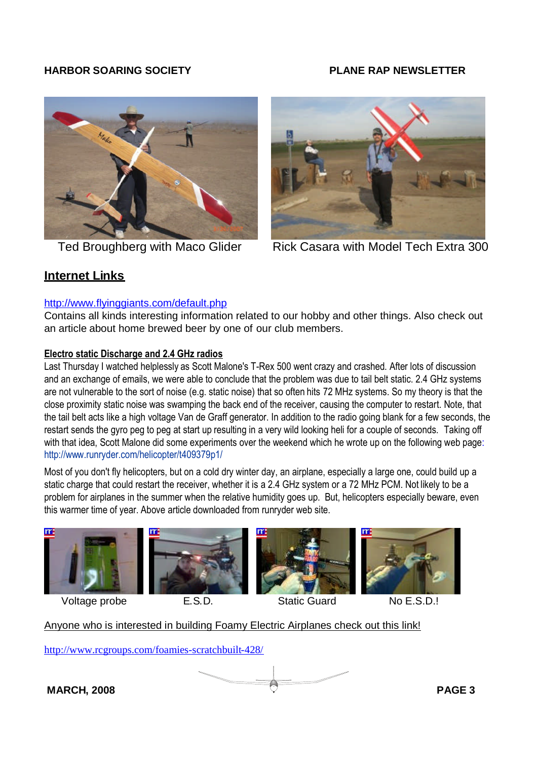



Ted Broughberg with Maco Glider Rick Casara with Model Tech Extra 300

## **Internet Links**

### http://www.flyinggiants.com/default.php

Contains all kinds interesting information related to our hobby and other things. Also check out an article about home brewed beer by one of our club members.

### **Electro static Discharge and 2.4 GHz radios**

Last Thursday I watched helplessly as Scott Malone's T-Rex 500 went crazy and crashed. After lots of discussion and an exchange of emails, we were able to conclude that the problem was due to tail belt static. 2.4 GHz systems are not vulnerable to the sort of noise (e.g. static noise) that so often hits 72 MHz systems. So my theory is that the close proximity static noise was swamping the back end of the receiver, causing the computer to restart. Note, that the tail belt acts like a high voltage Van de Graff generator. In addition to the radio going blank for a few seconds, the restart sends the gyro peg to peg at start up resulting in a very wild looking heli for a couple of seconds. Taking off with that idea, Scott Malone did some experiments over the weekend which he wrote up on the following web page: http://www.runryder.com/helicopter/t409379p1/

Most of you don't fly helicopters, but on a cold dry winter day, an airplane, especially a large one, could build up a static charge that could restart the receiver, whether it is a 2.4 GHz system or a 72 MHz PCM. Not likely to be a problem for airplanes in the summer when the relative humidity goes up. But, helicopters especially beware, even this warmer time of year. Above article downloaded from runryder web site.









Anyone who is interested in building Foamy Electric Airplanes check out this link!

http://www.rcgroups.com/foamies-scratchbuilt-428/

**MARCH, 2008 PAGE 3**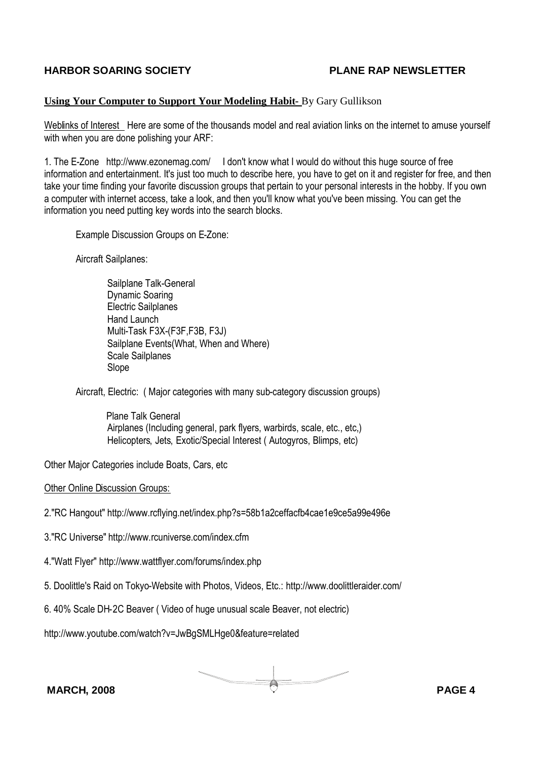#### **Using Your Computer to Support Your Modeling Habit-** By Gary Gullikson

Weblinks of Interest Here are some of the thousands model and real aviation links on the internet to amuse yourself with when you are done polishing your ARF:

1. The E-Zone http://www.ezonemag.com/ I don't know what I would do without this huge source of free information and entertainment. It's just too much to describe here, you have to get on it and register for free, and then take your time finding your favorite discussion groups that pertain to your personal interests in the hobby. If you own a computer with internet access, take a look, and then you'll know what you've been missing. You can get the information you need putting key words into the search blocks.

Example Discussion Groups on E-Zone:

Aircraft Sailplanes:

Sailplane Talk-General Dynamic Soaring Electric Sailplanes Hand Launch Multi-Task F3X-(F3F,F3B, F3J) Sailplane Events(What, When and Where) Scale Sailplanes Slope

Aircraft, Electric: ( Major categories with many sub-category discussion groups)

Plane Talk General Airplanes (Including general, park flyers, warbirds, scale, etc., etc,) Helicopters, Jets, Exotic/Special Interest ( Autogyros, Blimps, etc)

Other Major Categories include Boats, Cars, etc

Other Online Discussion Groups:

2."RC Hangout" http://www.rcflying.net/index.php?s=58b1a2ceffacfb4cae1e9ce5a99e496e

3."RC Universe" http://www.rcuniverse.com/index.cfm

4."Watt Flyer" http://www.wattflyer.com/forums/index.php

5. Doolittle's Raid on Tokyo-Website with Photos, Videos, Etc.: http://www.doolittleraider.com/

6. 40% Scale DH-2C Beaver ( Video of huge unusual scale Beaver, not electric)

http://www.youtube.com/watch?v=JwBgSMLHge0&feature=related

**MARCH, 2008 PAGE 4**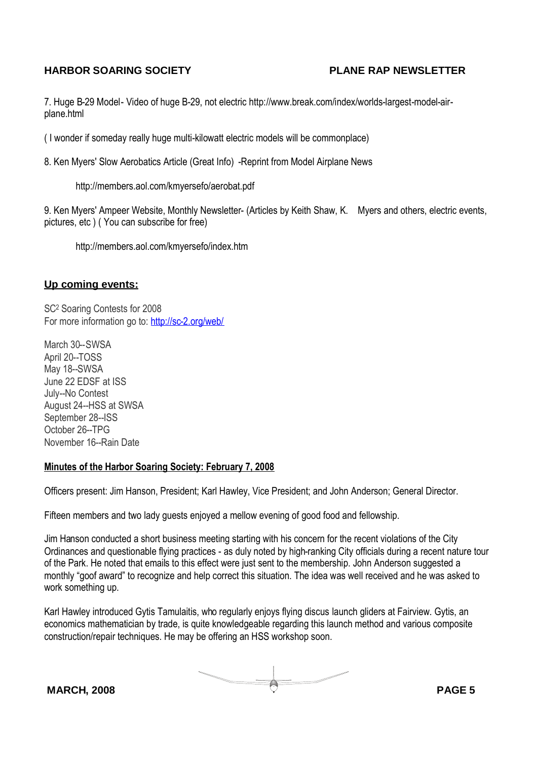7. Huge B-29 Model- Video of huge B-29, not electric http://www.break.com/index/worlds-largest-model-airplane.html

( I wonder if someday really huge multi-kilowatt electric models will be commonplace)

8. Ken Myers' Slow Aerobatics Article (Great Info) -Reprint from Model Airplane News

http://members.aol.com/kmyersefo/aerobat.pdf

9. Ken Myers' Ampeer Website, Monthly Newsletter- (Articles by Keith Shaw, K. Myers and others, electric events, pictures, etc ) ( You can subscribe for free)

http://members.aol.com/kmyersefo/index.htm

#### **Up coming events:**

SC<sup>2</sup> Soaring Contests for 2008 For more information go to: http://sc-2.org/web/

March 30--SWSA April 20--TOSS May 18--SWSA June 22 EDSF at ISS July--No Contest August 24--HSS at SWSA September 28--ISS October 26--TPG November 16--Rain Date

#### **Minutes of the Harbor Soaring Society: February 7, 2008**

Officers present: Jim Hanson, President; Karl Hawley, Vice President; and John Anderson; General Director.

Fifteen members and two lady guests enjoyed a mellow evening of good food and fellowship.

Jim Hanson conducted a short business meeting starting with his concern for the recent violations of the City Ordinances and questionable flying practices - as duly noted by high-ranking City officials during a recent nature tour of the Park. He noted that emails to this effect were just sent to the membership. John Anderson suggested a monthly "goof award" to recognize and help correct this situation. The idea was well received and he was asked to work something up.

Karl Hawley introduced Gytis Tamulaitis, who regularly enjoys flying discus launch gliders at Fairview. Gytis, an economics mathematician by trade, is quite knowledgeable regarding this launch method and various composite construction/repair techniques. He may be offering an HSS workshop soon.

**MARCH, 2008 PAGE 5**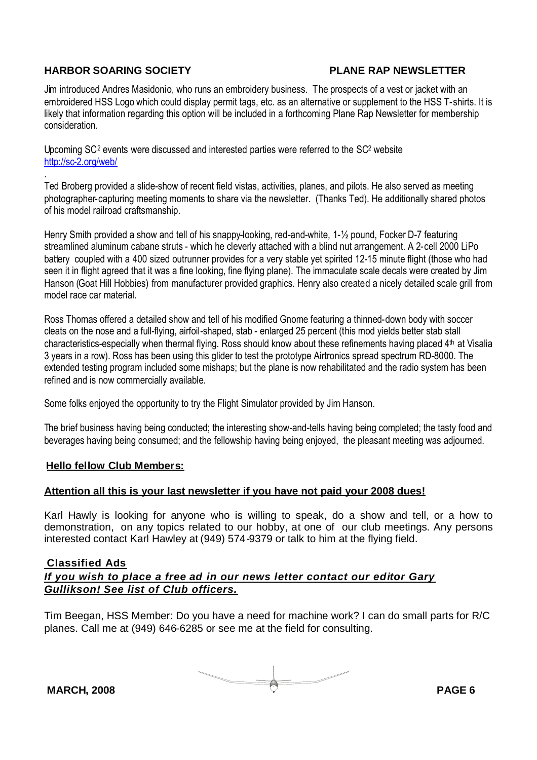Jim introduced Andres Masidonio, who runs an embroidery business. The prospects of a vest or jacket with an embroidered HSS Logo which could display permit tags, etc. as an alternative or supplement to the HSS T-shirts. It is likely that information regarding this option will be included in a forthcoming Plane Rap Newsletter for membership consideration.

Upcoming SC<sup>2</sup> events were discussed and interested parties were referred to the SC<sup>2</sup> website http://sc-2.org/web/

. Ted Broberg provided a slide-show of recent field vistas, activities, planes, and pilots. He also served as meeting photographer-capturing meeting moments to share via the newsletter. (Thanks Ted). He additionally shared photos of his model railroad craftsmanship.

Henry Smith provided a show and tell of his snappy-looking, red-and-white, 1-½ pound, Focker D-7 featuring streamlined aluminum cabane struts - which he cleverly attached with a blind nut arrangement. A 2-cell 2000 LiPo battery coupled with a 400 sized outrunner provides for a very stable yet spirited 12-15 minute flight (those who had seen it in flight agreed that it was a fine looking, fine flying plane). The immaculate scale decals were created by Jim Hanson (Goat Hill Hobbies) from manufacturer provided graphics. Henry also created a nicely detailed scale grill from model race car material.

Ross Thomas offered a detailed show and tell of his modified Gnome featuring a thinned-down body with soccer cleats on the nose and a full-flying, airfoil-shaped, stab - enlarged 25 percent (this mod yields better stab stall characteristics-especially when thermal flying. Ross should know about these refinements having placed 4th at Visalia 3 years in a row). Ross has been using this glider to test the prototype Airtronics spread spectrum RD-8000. The extended testing program included some mishaps; but the plane is now rehabilitated and the radio system has been refined and is now commercially available.

Some folks enjoyed the opportunity to try the Flight Simulator provided by Jim Hanson.

The brief business having being conducted; the interesting show-and-tells having being completed; the tasty food and beverages having being consumed; and the fellowship having being enjoyed, the pleasant meeting was adjourned.

#### **Hello fellow Club Members:**

#### **Attention all this is your last newsletter if you have not paid your 2008 dues!**

Karl Hawly is looking for anyone who is willing to speak, do a show and tell, or a how to demonstration, on any topics related to our hobby, at one of our club meetings. Any persons interested contact Karl Hawley at (949) 574-9379 or talk to him at the flying field.

#### **Classified Ads**

#### *If you wish to place a free ad in our news letter contact our editor Gary Gullikson! See list of Club officers.*

Tim Beegan, HSS Member: Do you have a need for machine work? I can do small parts for R/C planes. Call me at (949) 646-6285 or see me at the field for consulting.

**MARCH, 2008 PAGE 6**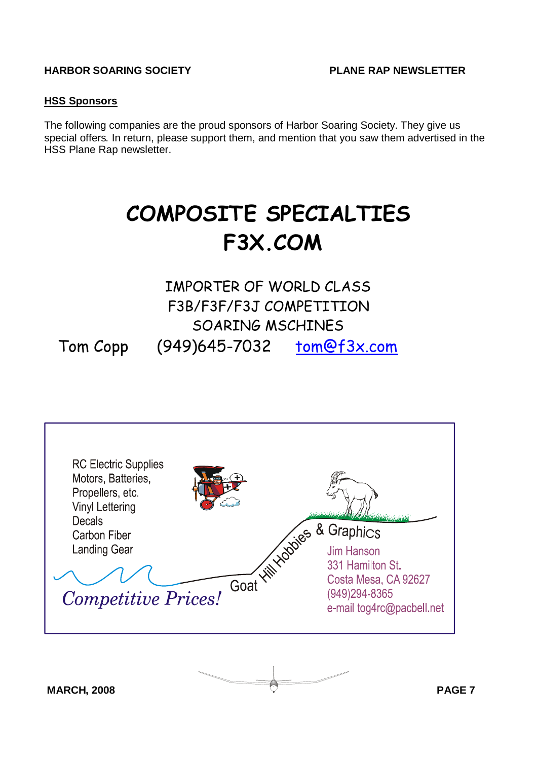#### **HSS Sponsors**

The following companies are the proud sponsors of Harbor Soaring Society. They give us special offers. In return, please support them, and mention that you saw them advertised in the HSS Plane Rap newsletter.

# **COMPOSITE SPECIALTIES F3X.COM**

## IMPORTER OF WORLD CLASS F3B/F3F/F3J COMPETITION SOARING MSCHINES Tom Copp (949)645-7032 tom@f3x.com

| <b>RC Electric Supplies</b><br>Motors, Batteries,<br>Propellers, etc.<br><b>Vinyl Lettering</b><br><b>Decals</b><br><b>Hill Hodoles</b><br><b>Carbon Fiber</b><br><b>Landing Gear</b><br>Goat<br><b>Competitive Prices!</b> | & Graphics<br>Jim Hanson<br>331 Hamilton St.<br>Costa Mesa, CA 92627<br>(949)294-8365<br>e-mail tog4rc@pacbell.net |
|-----------------------------------------------------------------------------------------------------------------------------------------------------------------------------------------------------------------------------|--------------------------------------------------------------------------------------------------------------------|
|-----------------------------------------------------------------------------------------------------------------------------------------------------------------------------------------------------------------------------|--------------------------------------------------------------------------------------------------------------------|